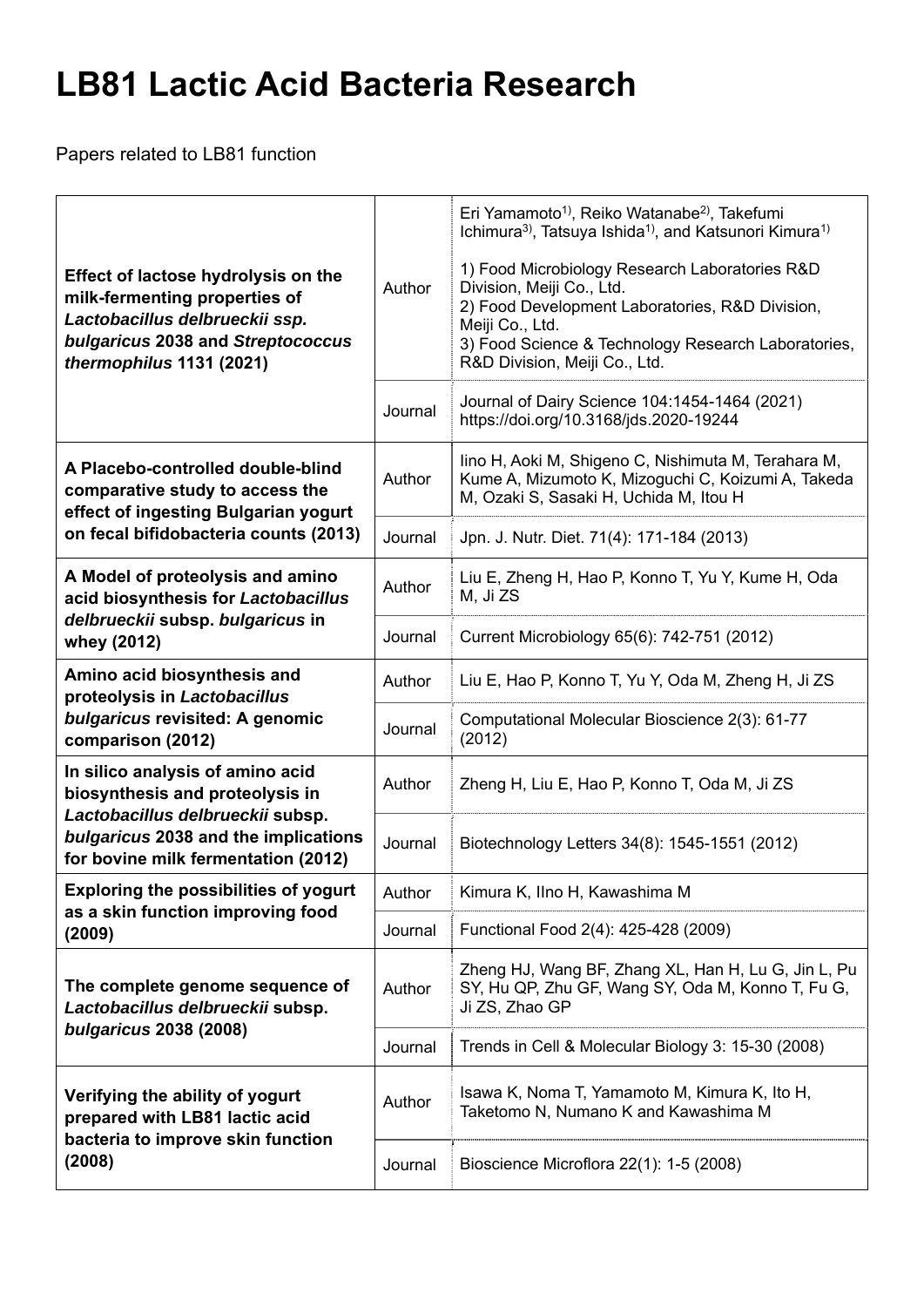## **LB81 Lactic Acid Bacteria Research**

Papers related to LB81 function

| <b>Effect of lactose hydrolysis on the</b><br>milk-fermenting properties of<br>Lactobacillus delbrueckii ssp.<br>bulgaricus 2038 and Streptococcus<br>thermophilus 1131 (2021)         | Author<br>Journal | Eri Yamamoto <sup>1</sup> , Reiko Watanabe <sup>2</sup> , Takefumi<br>Ichimura <sup>3)</sup> , Tatsuya Ishida <sup>1)</sup> , and Katsunori Kimura <sup>1)</sup><br>1) Food Microbiology Research Laboratories R&D<br>Division, Meiji Co., Ltd.<br>2) Food Development Laboratories, R&D Division,<br>Meiji Co., Ltd.<br>3) Food Science & Technology Research Laboratories,<br>R&D Division, Meiji Co., Ltd.<br>Journal of Dairy Science 104:1454-1464 (2021)<br>https://doi.org/10.3168/jds.2020-19244 |
|----------------------------------------------------------------------------------------------------------------------------------------------------------------------------------------|-------------------|----------------------------------------------------------------------------------------------------------------------------------------------------------------------------------------------------------------------------------------------------------------------------------------------------------------------------------------------------------------------------------------------------------------------------------------------------------------------------------------------------------|
| A Placebo-controlled double-blind<br>comparative study to access the<br>effect of ingesting Bulgarian yogurt<br>on fecal bifidobacteria counts (2013)                                  | Author            | lino H, Aoki M, Shigeno C, Nishimuta M, Terahara M,<br>Kume A, Mizumoto K, Mizoguchi C, Koizumi A, Takeda<br>M, Ozaki S, Sasaki H, Uchida M, Itou H                                                                                                                                                                                                                                                                                                                                                      |
|                                                                                                                                                                                        | Journal           | Jpn. J. Nutr. Diet. 71(4): 171-184 (2013)                                                                                                                                                                                                                                                                                                                                                                                                                                                                |
| A Model of proteolysis and amino<br>acid biosynthesis for Lactobacillus<br>delbrueckii subsp. bulgaricus in<br>whey (2012)                                                             | Author            | Liu E, Zheng H, Hao P, Konno T, Yu Y, Kume H, Oda<br>M, Ji ZS                                                                                                                                                                                                                                                                                                                                                                                                                                            |
|                                                                                                                                                                                        | Journal           | Current Microbiology 65(6): 742-751 (2012)                                                                                                                                                                                                                                                                                                                                                                                                                                                               |
| Amino acid biosynthesis and<br>proteolysis in Lactobacillus<br>bulgaricus revisited: A genomic<br>comparison (2012)                                                                    | Author            | Liu E, Hao P, Konno T, Yu Y, Oda M, Zheng H, Ji ZS                                                                                                                                                                                                                                                                                                                                                                                                                                                       |
|                                                                                                                                                                                        | Journal           | Computational Molecular Bioscience 2(3): 61-77<br>(2012)                                                                                                                                                                                                                                                                                                                                                                                                                                                 |
| In silico analysis of amino acid<br>biosynthesis and proteolysis in<br>Lactobacillus delbrueckii subsp.<br>bulgaricus 2038 and the implications<br>for bovine milk fermentation (2012) | Author            | Zheng H, Liu E, Hao P, Konno T, Oda M, Ji ZS                                                                                                                                                                                                                                                                                                                                                                                                                                                             |
|                                                                                                                                                                                        | Journal           | Biotechnology Letters 34(8): 1545-1551 (2012)                                                                                                                                                                                                                                                                                                                                                                                                                                                            |
| <b>Exploring the possibilities of yogurt</b><br>as a skin function improving food<br>(2009)                                                                                            | Author            | Kimura K, Ilno H, Kawashima M                                                                                                                                                                                                                                                                                                                                                                                                                                                                            |
|                                                                                                                                                                                        | Journal           | Functional Food 2(4): 425-428 (2009)                                                                                                                                                                                                                                                                                                                                                                                                                                                                     |
| The complete genome sequence of<br>Lactobacillus delbrueckii subsp.<br>bulgaricus 2038 (2008)                                                                                          | Author            | Zheng HJ, Wang BF, Zhang XL, Han H, Lu G, Jin L, Pu<br>SY, Hu QP, Zhu GF, Wang SY, Oda M, Konno T, Fu G,<br>Ji ZS, Zhao GP                                                                                                                                                                                                                                                                                                                                                                               |
|                                                                                                                                                                                        | Journal           | Trends in Cell & Molecular Biology 3: 15-30 (2008)                                                                                                                                                                                                                                                                                                                                                                                                                                                       |
| Verifying the ability of yogurt<br>prepared with LB81 lactic acid<br>bacteria to improve skin function<br>(2008)                                                                       | Author            | Isawa K, Noma T, Yamamoto M, Kimura K, Ito H,<br>Taketomo N, Numano K and Kawashima M                                                                                                                                                                                                                                                                                                                                                                                                                    |
|                                                                                                                                                                                        | Journal           | Bioscience Microflora 22(1): 1-5 (2008)                                                                                                                                                                                                                                                                                                                                                                                                                                                                  |